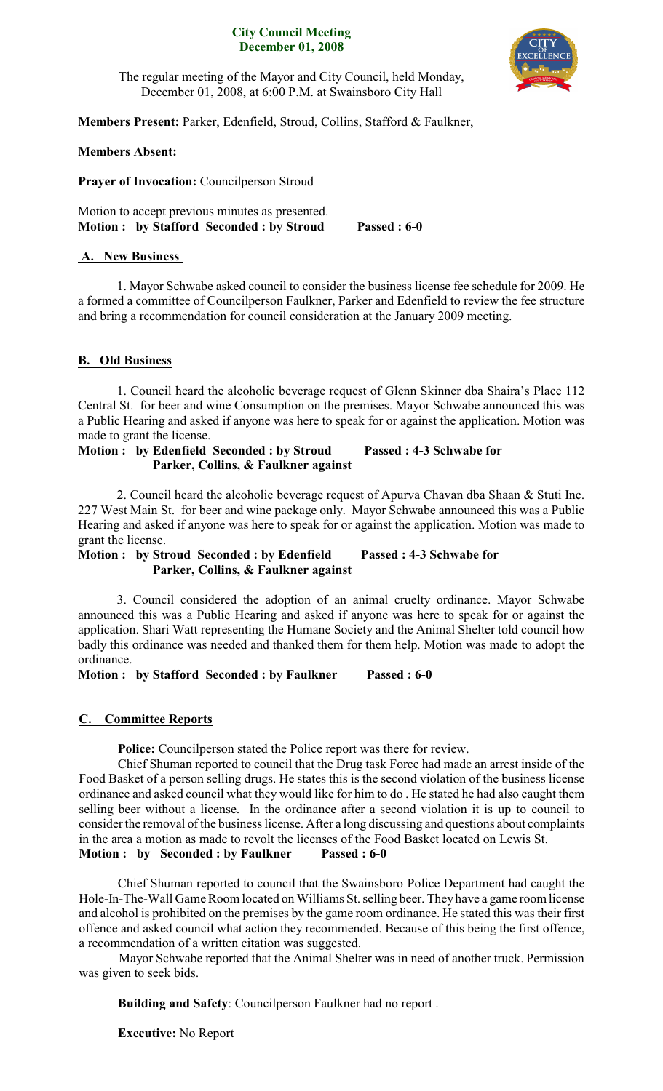### **City Council Meeting December 01, 2008**



The regular meeting of the Mayor and City Council, held Monday, December 01, 2008, at 6:00 P.M. at Swainsboro City Hall

**Members Present:** Parker, Edenfield, Stroud, Collins, Stafford & Faulkner,

## **Members Absent:**

**Prayer of Invocation:** Councilperson Stroud

Motion to accept previous minutes as presented. **Motion : by Stafford Seconded : by Stroud Passed : 6-0**

# **A. New Business**

1. Mayor Schwabe asked council to consider the business license fee schedule for 2009. He a formed a committee of Councilperson Faulkner, Parker and Edenfield to review the fee structure and bring a recommendation for council consideration at the January 2009 meeting.

## **B. Old Business**

1. Council heard the alcoholic beverage request of Glenn Skinner dba Shaira's Place 112 Central St. for beer and wine Consumption on the premises. Mayor Schwabe announced this was a Public Hearing and asked if anyone was here to speak for or against the application. Motion was made to grant the license.

# **Motion : by Edenfield Seconded : by Stroud Passed : 4-3 Schwabe for Parker, Collins, & Faulkner against**

2. Council heard the alcoholic beverage request of Apurva Chavan dba Shaan & Stuti Inc. 227 West Main St. for beer and wine package only. Mayor Schwabe announced this was a Public Hearing and asked if anyone was here to speak for or against the application. Motion was made to grant the license.

**Motion : by Stroud Seconded : by Edenfield Passed : 4-3 Schwabe for Parker, Collins, & Faulkner against** 

3. Council considered the adoption of an animal cruelty ordinance. Mayor Schwabe announced this was a Public Hearing and asked if anyone was here to speak for or against the application. Shari Watt representing the Humane Society and the Animal Shelter told council how badly this ordinance was needed and thanked them for them help. Motion was made to adopt the ordinance.

**Motion : by Stafford Seconded : by Faulkner Passed : 6-0**

## **C. Committee Reports**

**Police:** Councilperson stated the Police report was there for review.

Chief Shuman reported to council that the Drug task Force had made an arrest inside of the Food Basket of a person selling drugs. He states this is the second violation of the business license ordinance and asked council what they would like for him to do . He stated he had also caught them selling beer without a license. In the ordinance after a second violation it is up to council to consider the removal of the business license. After a long discussing and questions about complaints in the area a motion as made to revolt the licenses of the Food Basket located on Lewis St. **Motion : by Seconded : by Faulkner Passed : 6-0**

Chief Shuman reported to council that the Swainsboro Police Department had caught the Hole-In-The-Wall Game Room located on Williams St. selling beer. They have a game room license and alcohol is prohibited on the premises by the game room ordinance. He stated this was their first offence and asked council what action they recommended. Because of this being the first offence, a recommendation of a written citation was suggested.

Mayor Schwabe reported that the Animal Shelter was in need of another truck. Permission was given to seek bids.

**Building and Safety**: Councilperson Faulkner had no report .

**Executive:** No Report